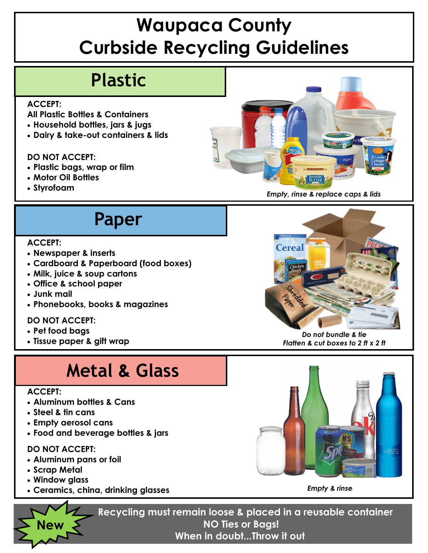# **Waupaca County Curbside Recycling Guidelines**

## **Plastic**

#### **ACCEPT:**

- **All Plastic Bottles & Containers**
- **Household bottles, jars & jugs**
- **Dairy & take-out containers & lids**

#### **DO NOT ACCEPT:**

- **Plastic bags, wrap or film**
- **Motor Oil Bottles**
- 



## **Paper**

#### **ACCEPT:**

- **Newspaper & inserts**
- **Cardboard & Paperboard (food boxes)**
- **Milk, juice & soup cartons**
- **Office & school paper**
- **Junk mail**
- **Phonebooks, books & magazines**

### **DO NOT ACCEPT:**

- **Pet food bags**
- **Tissue paper & gift wrap**

### **Metal & Glass**

#### **ACCEPT:**

- **Aluminum bottles & Cans**
- **Steel & tin cans**
- **Empty aerosol cans**
- **Food and beverage bottles & jars**

#### **DO NOT ACCEPT:**

- **Aluminum pans or foil**
- **Scrap Metal**

**New** 

- **Window glass**
- **Ceramics, china, drinking glasses**



*Do not bundle & tie Flatten & cut boxes to 2 ft x 2 ft*



*Empty & rinse* 

**Recycling must remain loose & placed in a reusable container NO Ties or Bags! When in doubt...Throw it out**